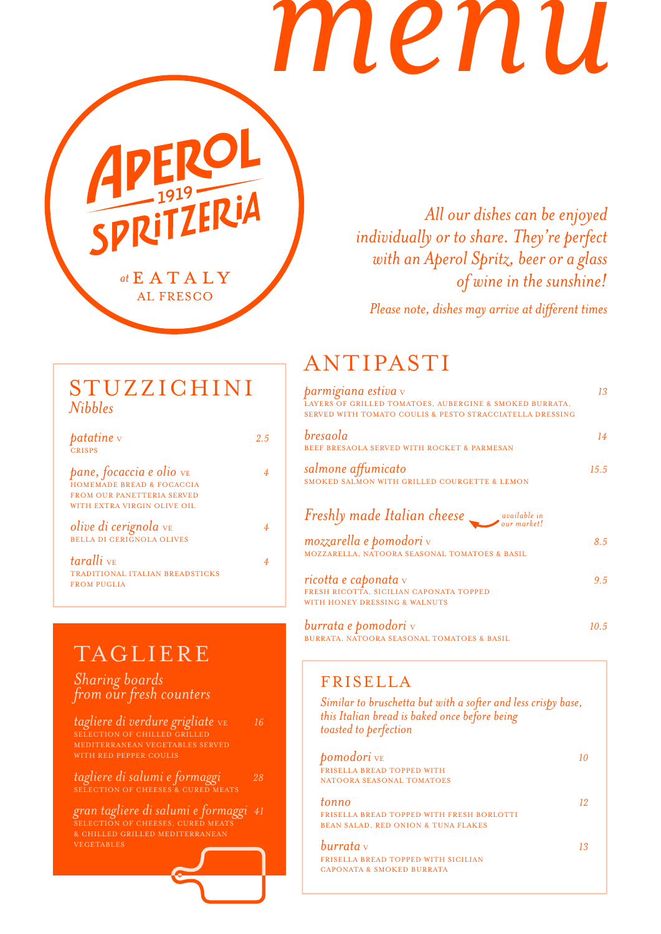# *menu*

at E A T A L Y **AL FRESCO** 

**PLITZERIA** 

*All our dishes can be enjoyed individually or to share. They're perfect with an Aperol Spritz, beer or a glass of wine in the sunshine!*

*Please note, dishes may arrive at different times* 

## STUZZICHINI *Nibbles*

*patatine* v **2.5** CRISPS

*pane, focaccia e olio*  $v_{E}$  4 HOMEMADE BREAD & FOCACCIA FROM OUR PANETTERIA SERVED WITH EXTRA VIRGIN OLIVE OIL

*olive di cerignola* VE *<sup>4</sup>* BELLA DI CERIGNOLA OLIVES

*taralli* VE *<sup>4</sup>* TRADITIONAL ITALIAN BREADSTICKS FROM PUGLIA

## TAGLIERE

#### *Sharing boards from our fresh counters*

*tagliere di verdure grigliate* VE *<sup>16</sup>* SELECTION OF CHILLED GRILLED MEDITERRANEAN VEGETABLES SERVED

*tagliere di salumi e formaggi 28* SELECTION OF CHEESES & CURED MEATS

*gran tagliere di salumi e formaggi 41* SELECTION OF CHEESES, CURED MEATS & CHILLED GRILLED MEDITERRANEAN VEGETABLES

# ANTIPASTI

| <b>parmigiana estiva</b> v<br>LAYERS OF GRILLED TOMATOES, AUBERGINE & SMOKED BURRATA,<br>SERVED WITH TOMATO COULIS & PESTO STRACCIATELLA DRESSING | 13            |
|---------------------------------------------------------------------------------------------------------------------------------------------------|---------------|
| bresaola<br>BEEF BRESAOLA SERVED WITH ROCKET & PARMESAN                                                                                           | 14            |
| salmone affumicato<br>SMOKED SALMON WITH GRILLED COURGETTE & LEMON                                                                                | 15.5          |
| Freshly made Italian cheese wavailable in                                                                                                         |               |
| mozzarella e pomodori v<br>MOZZARELLA, NATOORA SEASONAL TOMATOES & BASIL                                                                          | 8.5           |
| ricotta e caponata v<br>FRESH RICOTTA, SICILIAN CAPONATA TOPPED<br>WITH HONEY DRESSING & WALNUTS                                                  | $9.5^{\circ}$ |
| <b>burrata e pomodori</b> v                                                                                                                       | 10.5          |

BURRATA, NATOORA SEASONAL TOMATOES & BASIL

## FRISELLA

*Similar to bruschetta but with a softer and less crispy base, this Italian bread is baked once before being toasted to perfection*

| <b>pomodori</b> ve                               | 10 |
|--------------------------------------------------|----|
| <b>FRISELLA BREAD TOPPED WITH</b>                |    |
| NATOORA SEASONAL TOMATOES                        |    |
| tonno                                            | 12 |
| <b>FRISELLA BREAD TOPPED WITH FRESH BORLOTTI</b> |    |
| <b>BEAN SALAD. RED ONION &amp; TUNA FLAKES</b>   |    |
| burrata v                                        | 13 |
| <b>FRISELLA BREAD TOPPED WITH SICILIAN</b>       |    |
| CAPONATA & SMOKED BURRATA                        |    |